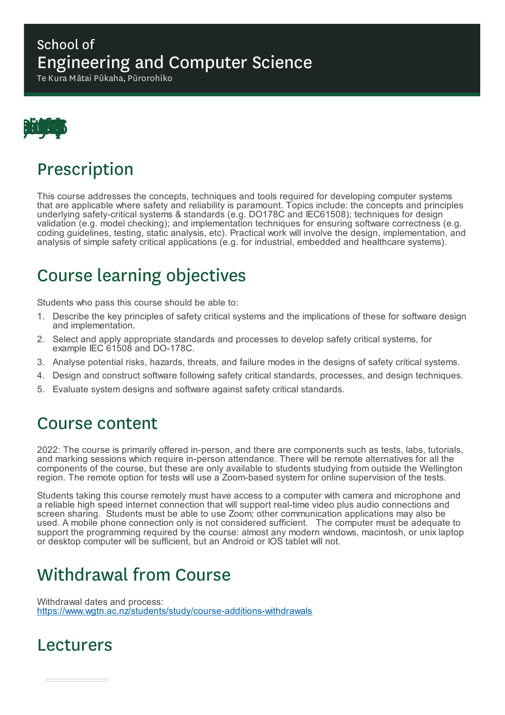#### School of Engineering and Computer Science

Te Kura Mātai Pūkaha, Pūrorohiko



# Prescription

This course addresses the concepts, techniques and tools required for developing computer systems that are applicable where safety and reliability is paramount. Topics include: the concepts and principles underlying safety-critical systems & standards (e.g. DO178C and IEC61508); techniques for design validation (e.g. model checking); and implementation techniques for ensuring software correctness (e.g. coding guidelines, testing, static analysis, etc). Practical work will involve the design, implementation, and analysis of simple safety critical applications (e.g. for industrial, embedded and healthcare systems).

# Course learning objectives

Students who pass this course should be able to:

- 1. Describe the key principles of safety critical systems and the implications of these for software design and implementation.
- 2. Select and apply appropriate standards and processes to develop safety critical systems, for example IEC 61508 and DO-178C.
- 3. Analyse potential risks, hazards, threats, and failure modes in the designs of safety critical systems.
- 4. Design and construct software following safety critical standards, processes, and design techniques.
- 5. Evaluate system designs and software against safety critical standards.

### Course content

2022: The course is primarily offered in-person, and there are components such as tests, labs, tutorials, and marking sessions which require in-person attendance. There will be remote alternatives for all the components of the course, but these are only available to students studying from outside the Wellington region. The remote option for tests will use a Zoom-based system for online supervision of the tests.

Students taking this course remotely must have access to a computer with camera and microphone and a reliable high speed internet connection that will support real-time video plus audio connections and screen sharing. Students must be able to use Zoom; other communication applications may also be used. A mobile phone connection only is not considered sufficient. The computer must be adequate to support the programming required by the course: almost any modern windows, macintosh, or unix laptop or desktop computer will be sufficient, but an Android or IOS tablet will not.

# Withdrawal from Course

Withdrawal dates and process: https://www.wgtn.ac.nz/students/study/course-additions-withdrawals

### Lecturers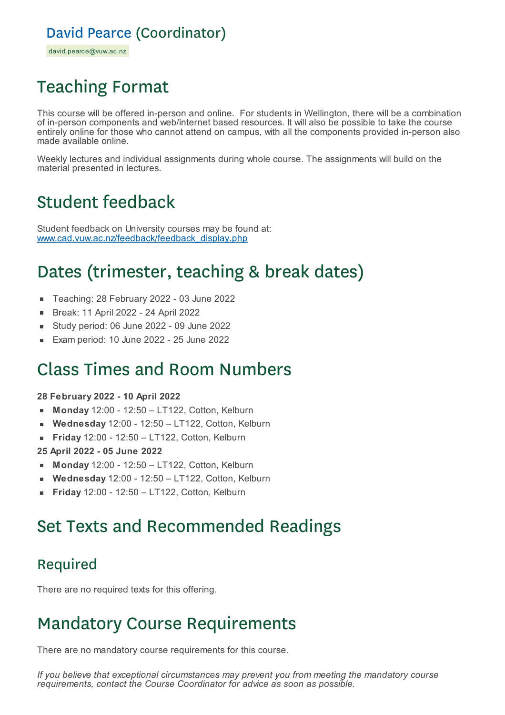### David Pearce (Coordinator)

david.pearce@vuw.ac.nz

# Teaching Format

This course will be offered in-person and online. For students in Wellington, there will be a combination of in-person components and web/internet based resources. It will also be possible to take the course entirely online for those who cannot attend on campus, with all the components provided in-person also made available online.

Weekly lectures and individual assignments during whole course. The assignments will build on the material presented in lectures.

# Student feedback

Student feedback on University courses may be found at: www.cad.vuw.ac.nz/feedback/feedback\_display.php

# Dates (trimester, teaching & break dates)

- Teaching: 28 February 2022 03 June 2022
- Break: 11 April 2022 24 April 2022  $\blacksquare$
- Study period: 06 June 2022 09 June 2022
- Exam period: 10 June 2022 25 June 2022

### Class Times and Room Numbers

#### **28 February 2022 - 10 April 2022**

- **Monday** 12:00 12:50 LT122, Cotton, Kelburn  $\blacksquare$
- **Wednesday** 12:00 12:50 LT122, Cotton, Kelburn
- **Friday** 12:00 12:50 LT122, Cotton, Kelburn  $\blacksquare$
- **25 April 2022 - 05 June 2022**
- **Monday** 12:00 12:50 LT122, Cotton, Kelburn  $\mathbf{m}$  .
- **Wednesday** 12:00 12:50 LT122, Cotton, Kelburn
- **Friday** 12:00 12:50 LT122, Cotton, Kelburn

# Set Texts and Recommended Readings

### Required

There are no required texts for this offering.

# Mandatory Course Requirements

There are no mandatory course requirements for this course.

*If you believe that exceptional circumstances may prevent you from meeting the mandatory course requirements, contact the Course Coordinator for advice as soon as possible.*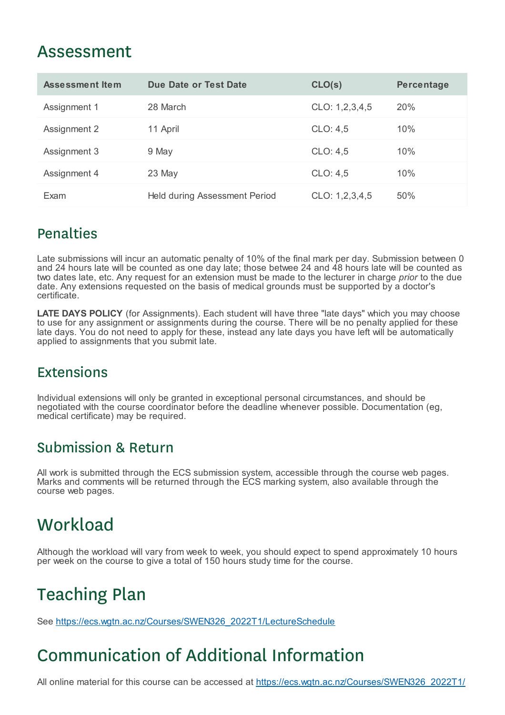### Assessment

| <b>Assessment Item</b> | <b>Due Date or Test Date</b>  | CLO(s)         | <b>Percentage</b> |
|------------------------|-------------------------------|----------------|-------------------|
| Assignment 1           | 28 March                      | CLO: 1,2,3,4,5 | <b>20%</b>        |
| Assignment 2           | 11 April                      | CLO: 4,5       | 10%               |
| Assignment 3           | 9 May                         | CLO: 4,5       | 10%               |
| Assignment 4           | 23 May                        | CLO: 4,5       | 10%               |
| Exam                   | Held during Assessment Period | CLO: 1,2,3,4,5 | 50%               |

#### **Penalties**

Late submissions will incur an automatic penalty of 10% of the final mark per day. Submission between 0 and 24 hours late will be counted as one day late; those betwee 24 and 48 hours late will be counted as two dates late, etc. Any request for an extension must be made to the lecturer in charge *prior* to the due date. Any extensions requested on the basis of medical grounds must be supported by a doctor's certificate.

**LATE DAYS POLICY** (for Assignments). Each student will have three "late days" which you may choose to use for any assignment or assignments during the course. There will be no penalty applied for these late days. You do not need to apply for these, instead any late days you have left will be automatically applied to assignments that you submit late.

### **Extensions**

Individual extensions will only be granted in exceptional personal circumstances, and should be negotiated with the course coordinator before the deadline whenever possible. Documentation (eg, medical certificate) may be required.

#### Submission & Return

All work is submitted through the ECS submission system, accessible through the course web pages. Marks and comments will be returned through the ECS marking system, also available through the course web pages.

# **Workload**

Although the workload will vary from week to week, you should expect to spend approximately 10 hours per week on the course to give a total of 150 hours study time for the course.

# Teaching Plan

See https://ecs.wgtn.ac.nz/Courses/SWEN326\_2022T1/LectureSchedule

# Communication of Additional Information

All online material for this course can be accessed at https://ecs.wgtn.ac.nz/Courses/SWEN326\_2022T1/